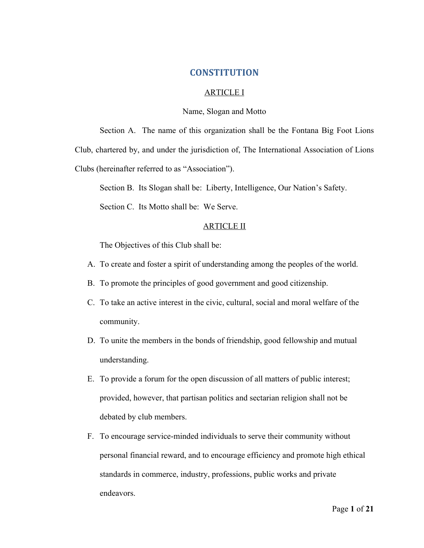# **CONSTITUTION**

## ARTICLE I

## Name, Slogan and Motto

Section A. The name of this organization shall be the Fontana Big Foot Lions

Club, chartered by, and under the jurisdiction of, The International Association of Lions

Clubs (hereinafter referred to as "Association").

Section B. Its Slogan shall be: Liberty, Intelligence, Our Nation's Safety.

Section C. Its Motto shall be: We Serve.

# ARTICLE II

The Objectives of this Club shall be:

- A. To create and foster a spirit of understanding among the peoples of the world.
- B. To promote the principles of good government and good citizenship.
- C. To take an active interest in the civic, cultural, social and moral welfare of the community.
- D. To unite the members in the bonds of friendship, good fellowship and mutual understanding.
- E. To provide a forum for the open discussion of all matters of public interest; provided, however, that partisan politics and sectarian religion shall not be debated by club members.
- F. To encourage service-minded individuals to serve their community without personal financial reward, and to encourage efficiency and promote high ethical standards in commerce, industry, professions, public works and private endeavors.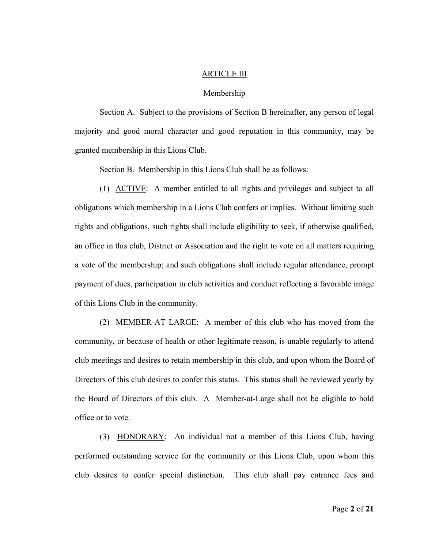### ARTICLE III

### Membership

Section A. Subject to the provisions of Section B hereinafter, any person of legal majority and good moral character and good reputation in this community, may be granted membership in this Lions Club.

Section B. Membership in this Lions Club shall be as follows:

(1) ACTIVE: A member entitled to all rights and privileges and subject to all obligations which membership in a Lions Club confers or implies. Without limiting such rights and obligations, such rights shall include eligibility to seek, if otherwise qualified, an office in this club, District or Association and the right to vote on all matters requiring a vote of the membership; and such obligations shall include regular attendance, prompt payment of dues, participation in club activities and conduct reflecting a favorable image of this Lions Club in the community.

(2) MEMBER-AT LARGE: A member of this club who has moved from the community, or because of health or other legitimate reason, is unable regularly to attend club meetings and desires to retain membership in this club, and upon whom the Board of Directors of this club desires to confer this status. This status shall be reviewed yearly by the Board of Directors of this club. A Member-at-Large shall not be eligible to hold office or to vote.

(3) HONORARY: An individual not a member of this Lions Club, having performed outstanding service for the community or this Lions Club, upon whom this club desires to confer special distinction. This club shall pay entrance fees and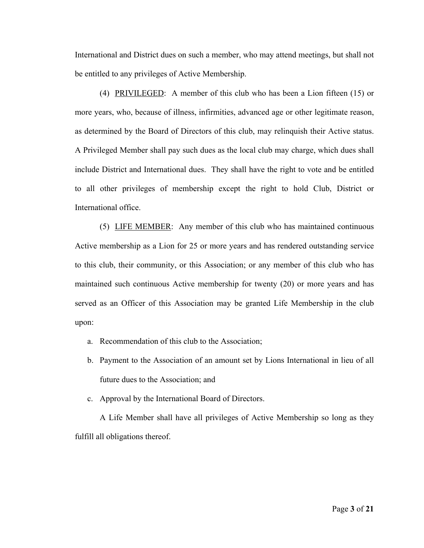International and District dues on such a member, who may attend meetings, but shall not be entitled to any privileges of Active Membership.

(4) PRIVILEGED: A member of this club who has been a Lion fifteen (15) or more years, who, because of illness, infirmities, advanced age or other legitimate reason, as determined by the Board of Directors of this club, may relinquish their Active status. A Privileged Member shall pay such dues as the local club may charge, which dues shall include District and International dues. They shall have the right to vote and be entitled to all other privileges of membership except the right to hold Club, District or International office.

(5) LIFE MEMBER: Any member of this club who has maintained continuous Active membership as a Lion for 25 or more years and has rendered outstanding service to this club, their community, or this Association; or any member of this club who has maintained such continuous Active membership for twenty (20) or more years and has served as an Officer of this Association may be granted Life Membership in the club upon:

- a. Recommendation of this club to the Association;
- b. Payment to the Association of an amount set by Lions International in lieu of all future dues to the Association; and
- c. Approval by the International Board of Directors.

A Life Member shall have all privileges of Active Membership so long as they fulfill all obligations thereof.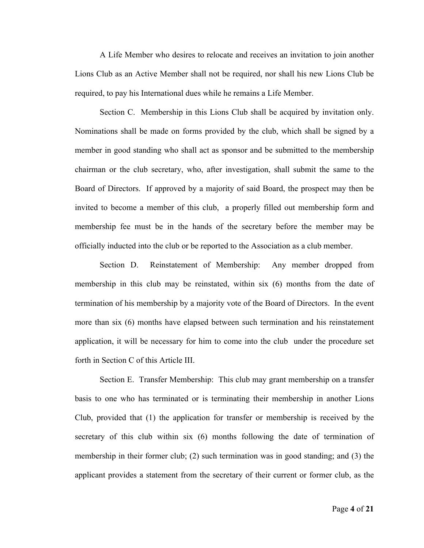A Life Member who desires to relocate and receives an invitation to join another Lions Club as an Active Member shall not be required, nor shall his new Lions Club be required, to pay his International dues while he remains a Life Member.

Section C. Membership in this Lions Club shall be acquired by invitation only. Nominations shall be made on forms provided by the club, which shall be signed by a member in good standing who shall act as sponsor and be submitted to the membership chairman or the club secretary, who, after investigation, shall submit the same to the Board of Directors. If approved by a majority of said Board, the prospect may then be invited to become a member of this club, a properly filled out membership form and membership fee must be in the hands of the secretary before the member may be officially inducted into the club or be reported to the Association as a club member.

Section D. Reinstatement of Membership: Any member dropped from membership in this club may be reinstated, within six (6) months from the date of termination of his membership by a majority vote of the Board of Directors. In the event more than six (6) months have elapsed between such termination and his reinstatement application, it will be necessary for him to come into the club under the procedure set forth in Section C of this Article III.

Section E. Transfer Membership: This club may grant membership on a transfer basis to one who has terminated or is terminating their membership in another Lions Club, provided that (1) the application for transfer or membership is received by the secretary of this club within six (6) months following the date of termination of membership in their former club; (2) such termination was in good standing; and (3) the applicant provides a statement from the secretary of their current or former club, as the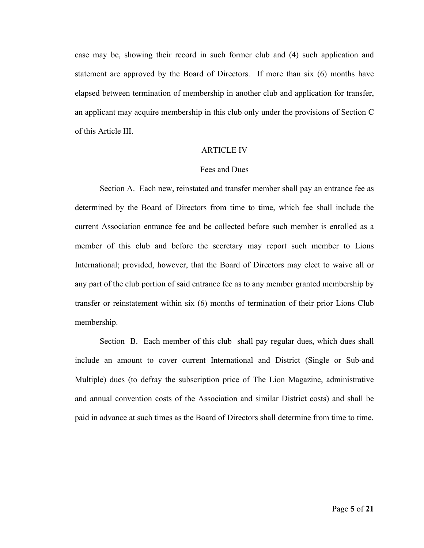case may be, showing their record in such former club and (4) such application and statement are approved by the Board of Directors. If more than six (6) months have elapsed between termination of membership in another club and application for transfer, an applicant may acquire membership in this club only under the provisions of Section C of this Article III.

# ARTICLE IV

### Fees and Dues

Section A. Each new, reinstated and transfer member shall pay an entrance fee as determined by the Board of Directors from time to time, which fee shall include the current Association entrance fee and be collected before such member is enrolled as a member of this club and before the secretary may report such member to Lions International; provided, however, that the Board of Directors may elect to waive all or any part of the club portion of said entrance fee as to any member granted membership by transfer or reinstatement within six (6) months of termination of their prior Lions Club membership.

Section B. Each member of this club shall pay regular dues, which dues shall include an amount to cover current International and District (Single or Sub-and Multiple) dues (to defray the subscription price of The Lion Magazine, administrative and annual convention costs of the Association and similar District costs) and shall be paid in advance at such times as the Board of Directors shall determine from time to time.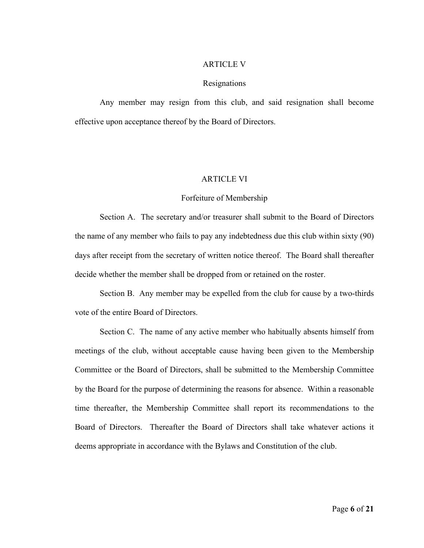## ARTICLE V

# Resignations

Any member may resign from this club, and said resignation shall become effective upon acceptance thereof by the Board of Directors.

# ARTICLE VI

# Forfeiture of Membership

Section A. The secretary and/or treasurer shall submit to the Board of Directors the name of any member who fails to pay any indebtedness due this club within sixty (90) days after receipt from the secretary of written notice thereof. The Board shall thereafter decide whether the member shall be dropped from or retained on the roster.

Section B. Any member may be expelled from the club for cause by a two-thirds vote of the entire Board of Directors.

Section C. The name of any active member who habitually absents himself from meetings of the club, without acceptable cause having been given to the Membership Committee or the Board of Directors, shall be submitted to the Membership Committee by the Board for the purpose of determining the reasons for absence. Within a reasonable time thereafter, the Membership Committee shall report its recommendations to the Board of Directors. Thereafter the Board of Directors shall take whatever actions it deems appropriate in accordance with the Bylaws and Constitution of the club.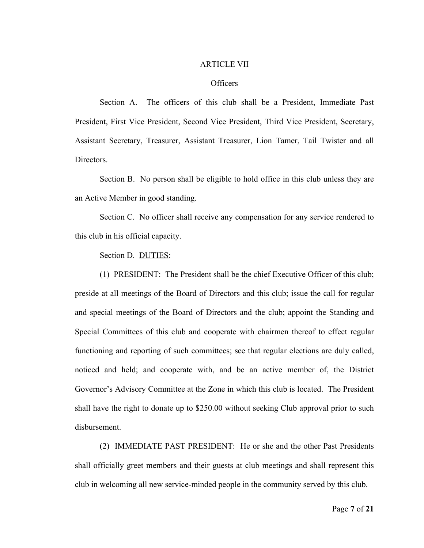### ARTICLE VII

# Officers

Section A. The officers of this club shall be a President, Immediate Past President, First Vice President, Second Vice President, Third Vice President, Secretary, Assistant Secretary, Treasurer, Assistant Treasurer, Lion Tamer, Tail Twister and all Directors.

Section B. No person shall be eligible to hold office in this club unless they are an Active Member in good standing.

Section C. No officer shall receive any compensation for any service rendered to this club in his official capacity.

Section D. DUTIES:

(1) PRESIDENT: The President shall be the chief Executive Officer of this club; preside at all meetings of the Board of Directors and this club; issue the call for regular and special meetings of the Board of Directors and the club; appoint the Standing and Special Committees of this club and cooperate with chairmen thereof to effect regular functioning and reporting of such committees; see that regular elections are duly called, noticed and held; and cooperate with, and be an active member of, the District Governor's Advisory Committee at the Zone in which this club is located. The President shall have the right to donate up to \$250.00 without seeking Club approval prior to such disbursement.

(2) IMMEDIATE PAST PRESIDENT: He or she and the other Past Presidents shall officially greet members and their guests at club meetings and shall represent this club in welcoming all new service-minded people in the community served by this club.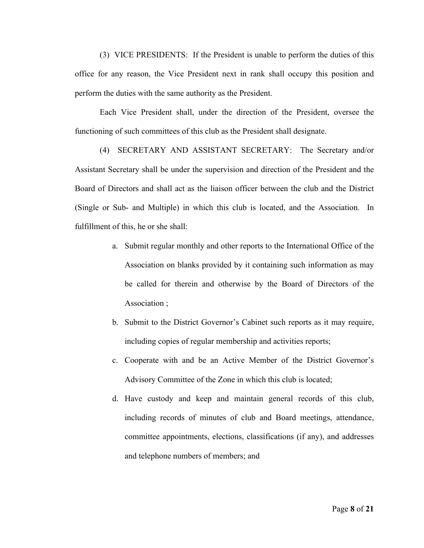(3) VICE PRESIDENTS: If the President is unable to perform the duties of this office for any reason, the Vice President next in rank shall occupy this position and perform the duties with the same authority as the President.

Each Vice President shall, under the direction of the President, oversee the functioning of such committees of this club as the President shall designate.

(4) SECRETARY AND ASSISTANT SECRETARY: The Secretary and/or Assistant Secretary shall be under the supervision and direction of the President and the Board of Directors and shall act as the liaison officer between the club and the District (Single or Sub- and Multiple) in which this club is located, and the Association. In fulfillment of this, he or she shall:

- a. Submit regular monthly and other reports to the International Office of the Association on blanks provided by it containing such information as may be called for therein and otherwise by the Board of Directors of the Association ;
- b. Submit to the District Governor's Cabinet such reports as it may require, including copies of regular membership and activities reports;
- c. Cooperate with and be an Active Member of the District Governor's Advisory Committee of the Zone in which this club is located;
- d. Have custody and keep and maintain general records of this club, including records of minutes of club and Board meetings, attendance, committee appointments, elections, classifications (if any), and addresses and telephone numbers of members; and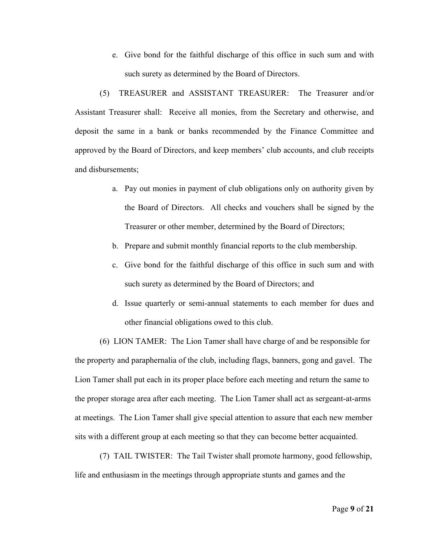e. Give bond for the faithful discharge of this office in such sum and with such surety as determined by the Board of Directors.

(5) TREASURER and ASSISTANT TREASURER: The Treasurer and/or Assistant Treasurer shall: Receive all monies, from the Secretary and otherwise, and deposit the same in a bank or banks recommended by the Finance Committee and approved by the Board of Directors, and keep members' club accounts, and club receipts and disbursements;

- a. Pay out monies in payment of club obligations only on authority given by the Board of Directors. All checks and vouchers shall be signed by the Treasurer or other member, determined by the Board of Directors;
- b. Prepare and submit monthly financial reports to the club membership.
- c. Give bond for the faithful discharge of this office in such sum and with such surety as determined by the Board of Directors; and
- d. Issue quarterly or semi-annual statements to each member for dues and other financial obligations owed to this club.

(6) LION TAMER: The Lion Tamer shall have charge of and be responsible for the property and paraphernalia of the club, including flags, banners, gong and gavel. The Lion Tamer shall put each in its proper place before each meeting and return the same to the proper storage area after each meeting. The Lion Tamer shall act as sergeant-at-arms at meetings. The Lion Tamer shall give special attention to assure that each new member sits with a different group at each meeting so that they can become better acquainted.

(7) TAIL TWISTER: The Tail Twister shall promote harmony, good fellowship, life and enthusiasm in the meetings through appropriate stunts and games and the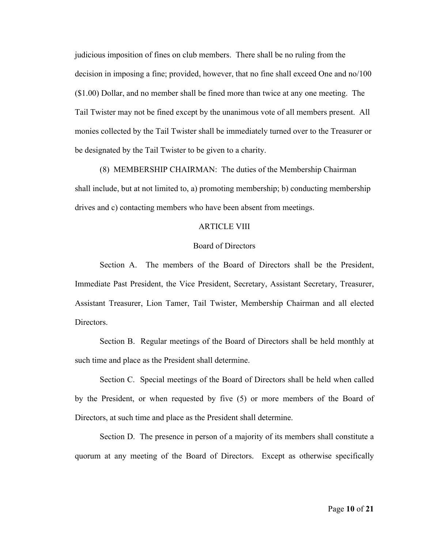judicious imposition of fines on club members. There shall be no ruling from the decision in imposing a fine; provided, however, that no fine shall exceed One and no/100 (\$1.00) Dollar, and no member shall be fined more than twice at any one meeting. The Tail Twister may not be fined except by the unanimous vote of all members present. All monies collected by the Tail Twister shall be immediately turned over to the Treasurer or be designated by the Tail Twister to be given to a charity.

(8) MEMBERSHIP CHAIRMAN: The duties of the Membership Chairman shall include, but at not limited to, a) promoting membership; b) conducting membership drives and c) contacting members who have been absent from meetings.

### ARTICLE VIII

### Board of Directors

Section A. The members of the Board of Directors shall be the President, Immediate Past President, the Vice President, Secretary, Assistant Secretary, Treasurer, Assistant Treasurer, Lion Tamer, Tail Twister, Membership Chairman and all elected **Directors** 

Section B. Regular meetings of the Board of Directors shall be held monthly at such time and place as the President shall determine.

Section C. Special meetings of the Board of Directors shall be held when called by the President, or when requested by five (5) or more members of the Board of Directors, at such time and place as the President shall determine.

Section D. The presence in person of a majority of its members shall constitute a quorum at any meeting of the Board of Directors. Except as otherwise specifically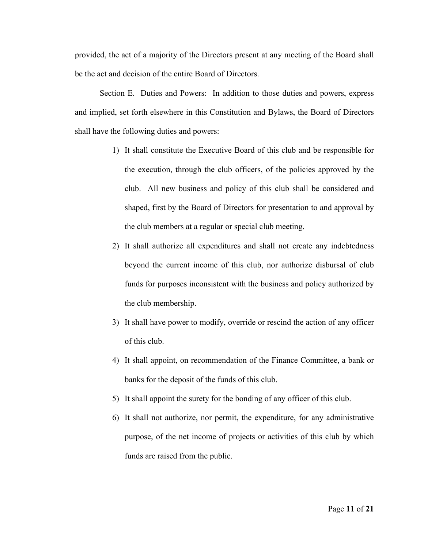provided, the act of a majority of the Directors present at any meeting of the Board shall be the act and decision of the entire Board of Directors.

Section E. Duties and Powers: In addition to those duties and powers, express and implied, set forth elsewhere in this Constitution and Bylaws, the Board of Directors shall have the following duties and powers:

- 1) It shall constitute the Executive Board of this club and be responsible for the execution, through the club officers, of the policies approved by the club. All new business and policy of this club shall be considered and shaped, first by the Board of Directors for presentation to and approval by the club members at a regular or special club meeting.
- 2) It shall authorize all expenditures and shall not create any indebtedness beyond the current income of this club, nor authorize disbursal of club funds for purposes inconsistent with the business and policy authorized by the club membership.
- 3) It shall have power to modify, override or rescind the action of any officer of this club.
- 4) It shall appoint, on recommendation of the Finance Committee, a bank or banks for the deposit of the funds of this club.
- 5) It shall appoint the surety for the bonding of any officer of this club.
- 6) It shall not authorize, nor permit, the expenditure, for any administrative purpose, of the net income of projects or activities of this club by which funds are raised from the public.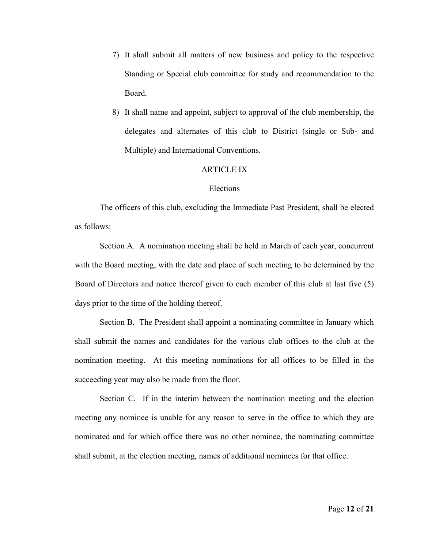- 7) It shall submit all matters of new business and policy to the respective Standing or Special club committee for study and recommendation to the Board.
- 8) It shall name and appoint, subject to approval of the club membership, the delegates and alternates of this club to District (single or Sub- and Multiple) and International Conventions.

### ARTICLE IX

### Elections

The officers of this club, excluding the Immediate Past President, shall be elected as follows:

Section A. A nomination meeting shall be held in March of each year, concurrent with the Board meeting, with the date and place of such meeting to be determined by the Board of Directors and notice thereof given to each member of this club at last five (5) days prior to the time of the holding thereof.

Section B. The President shall appoint a nominating committee in January which shall submit the names and candidates for the various club offices to the club at the nomination meeting. At this meeting nominations for all offices to be filled in the succeeding year may also be made from the floor.

Section C. If in the interim between the nomination meeting and the election meeting any nominee is unable for any reason to serve in the office to which they are nominated and for which office there was no other nominee, the nominating committee shall submit, at the election meeting, names of additional nominees for that office.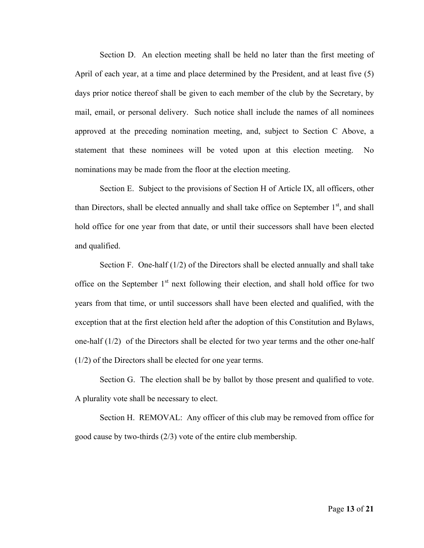Section D. An election meeting shall be held no later than the first meeting of April of each year, at a time and place determined by the President, and at least five (5) days prior notice thereof shall be given to each member of the club by the Secretary, by mail, email, or personal delivery. Such notice shall include the names of all nominees approved at the preceding nomination meeting, and, subject to Section C Above, a statement that these nominees will be voted upon at this election meeting. No nominations may be made from the floor at the election meeting.

Section E. Subject to the provisions of Section H of Article IX, all officers, other than Directors, shall be elected annually and shall take office on September  $1<sup>st</sup>$ , and shall hold office for one year from that date, or until their successors shall have been elected and qualified.

Section F. One-half  $(1/2)$  of the Directors shall be elected annually and shall take office on the September  $1<sup>st</sup>$  next following their election, and shall hold office for two years from that time, or until successors shall have been elected and qualified, with the exception that at the first election held after the adoption of this Constitution and Bylaws, one-half (1/2) of the Directors shall be elected for two year terms and the other one-half (1/2) of the Directors shall be elected for one year terms.

Section G. The election shall be by ballot by those present and qualified to vote. A plurality vote shall be necessary to elect.

Section H. REMOVAL: Any officer of this club may be removed from office for good cause by two-thirds (2/3) vote of the entire club membership.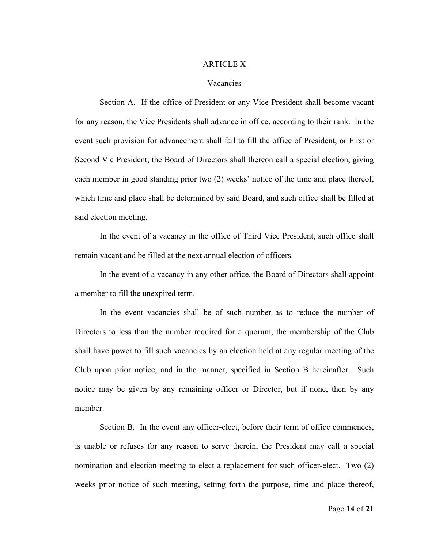# ARTICLE X

## Vacancies

Section A. If the office of President or any Vice President shall become vacant for any reason, the Vice Presidents shall advance in office, according to their rank. In the event such provision for advancement shall fail to fill the office of President, or First or Second Vic President, the Board of Directors shall thereon call a special election, giving each member in good standing prior two (2) weeks' notice of the time and place thereof, which time and place shall be determined by said Board, and such office shall be filled at said election meeting.

In the event of a vacancy in the office of Third Vice President, such office shall remain vacant and be filled at the next annual election of officers.

In the event of a vacancy in any other office, the Board of Directors shall appoint a member to fill the unexpired term.

In the event vacancies shall be of such number as to reduce the number of Directors to less than the number required for a quorum, the membership of the Club shall have power to fill such vacancies by an election held at any regular meeting of the Club upon prior notice, and in the manner, specified in Section B hereinafter. Such notice may be given by any remaining officer or Director, but if none, then by any member.

Section B. In the event any officer-elect, before their term of office commences, is unable or refuses for any reason to serve therein, the President may call a special nomination and election meeting to elect a replacement for such officer-elect. Two (2) weeks prior notice of such meeting, setting forth the purpose, time and place thereof,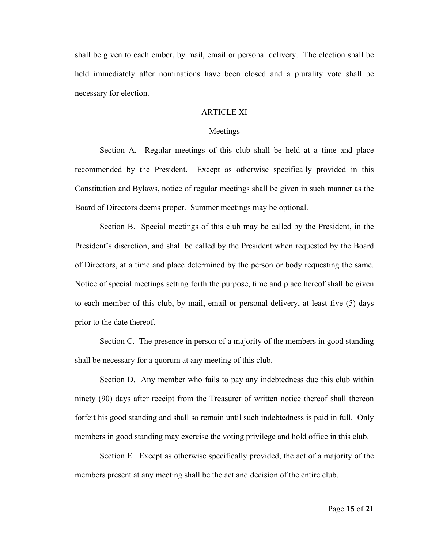shall be given to each ember, by mail, email or personal delivery. The election shall be held immediately after nominations have been closed and a plurality vote shall be necessary for election.

## ARTICLE XI

### Meetings

Section A. Regular meetings of this club shall be held at a time and place recommended by the President. Except as otherwise specifically provided in this Constitution and Bylaws, notice of regular meetings shall be given in such manner as the Board of Directors deems proper. Summer meetings may be optional.

Section B. Special meetings of this club may be called by the President, in the President's discretion, and shall be called by the President when requested by the Board of Directors, at a time and place determined by the person or body requesting the same. Notice of special meetings setting forth the purpose, time and place hereof shall be given to each member of this club, by mail, email or personal delivery, at least five (5) days prior to the date thereof.

Section C. The presence in person of a majority of the members in good standing shall be necessary for a quorum at any meeting of this club.

Section D. Any member who fails to pay any indebtedness due this club within ninety (90) days after receipt from the Treasurer of written notice thereof shall thereon forfeit his good standing and shall so remain until such indebtedness is paid in full. Only members in good standing may exercise the voting privilege and hold office in this club.

Section E. Except as otherwise specifically provided, the act of a majority of the members present at any meeting shall be the act and decision of the entire club.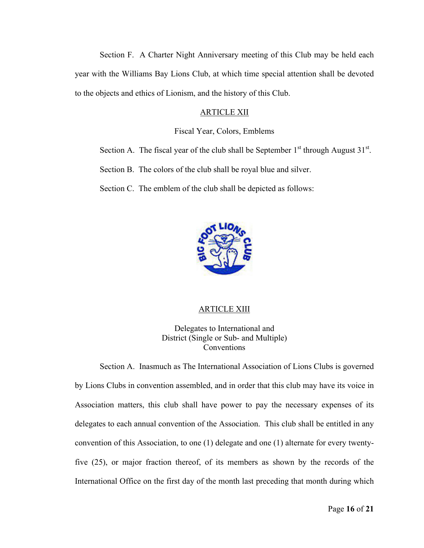Section F. A Charter Night Anniversary meeting of this Club may be held each year with the Williams Bay Lions Club, at which time special attention shall be devoted to the objects and ethics of Lionism, and the history of this Club.

### ARTICLE XII

Fiscal Year, Colors, Emblems

Section A. The fiscal year of the club shall be September  $1<sup>st</sup>$  through August  $31<sup>st</sup>$ .

Section B. The colors of the club shall be royal blue and silver.

Section C. The emblem of the club shall be depicted as follows:



## ARTICLE XIII

Delegates to International and District (Single or Sub- and Multiple) Conventions

Section A. Inasmuch as The International Association of Lions Clubs is governed by Lions Clubs in convention assembled, and in order that this club may have its voice in Association matters, this club shall have power to pay the necessary expenses of its delegates to each annual convention of the Association. This club shall be entitled in any convention of this Association, to one (1) delegate and one (1) alternate for every twentyfive (25), or major fraction thereof, of its members as shown by the records of the International Office on the first day of the month last preceding that month during which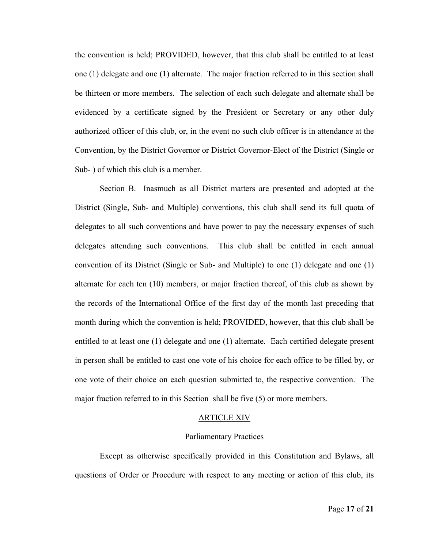the convention is held; PROVIDED, however, that this club shall be entitled to at least one (1) delegate and one (1) alternate. The major fraction referred to in this section shall be thirteen or more members. The selection of each such delegate and alternate shall be evidenced by a certificate signed by the President or Secretary or any other duly authorized officer of this club, or, in the event no such club officer is in attendance at the Convention, by the District Governor or District Governor-Elect of the District (Single or Sub- ) of which this club is a member.

Section B. Inasmuch as all District matters are presented and adopted at the District (Single, Sub- and Multiple) conventions, this club shall send its full quota of delegates to all such conventions and have power to pay the necessary expenses of such delegates attending such conventions. This club shall be entitled in each annual convention of its District (Single or Sub- and Multiple) to one (1) delegate and one (1) alternate for each ten (10) members, or major fraction thereof, of this club as shown by the records of the International Office of the first day of the month last preceding that month during which the convention is held; PROVIDED, however, that this club shall be entitled to at least one (1) delegate and one (1) alternate. Each certified delegate present in person shall be entitled to cast one vote of his choice for each office to be filled by, or one vote of their choice on each question submitted to, the respective convention. The major fraction referred to in this Section shall be five (5) or more members.

## ARTICLE XIV

#### Parliamentary Practices

Except as otherwise specifically provided in this Constitution and Bylaws, all questions of Order or Procedure with respect to any meeting or action of this club, its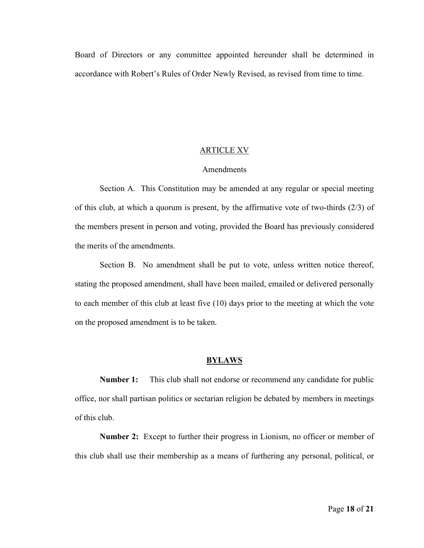Board of Directors or any committee appointed hereunder shall be determined in accordance with Robert's Rules of Order Newly Revised, as revised from time to time.

## ARTICLE XV

## Amendments

Section A. This Constitution may be amended at any regular or special meeting of this club, at which a quorum is present, by the affirmative vote of two-thirds (2/3) of the members present in person and voting, provided the Board has previously considered the merits of the amendments.

Section B. No amendment shall be put to vote, unless written notice thereof, stating the proposed amendment, shall have been mailed, emailed or delivered personally to each member of this club at least five (10) days prior to the meeting at which the vote on the proposed amendment is to be taken.

#### **BYLAWS**

**Number 1:** This club shall not endorse or recommend any candidate for public office, nor shall partisan politics or sectarian religion be debated by members in meetings of this club.

**Number 2:** Except to further their progress in Lionism, no officer or member of this club shall use their membership as a means of furthering any personal, political, or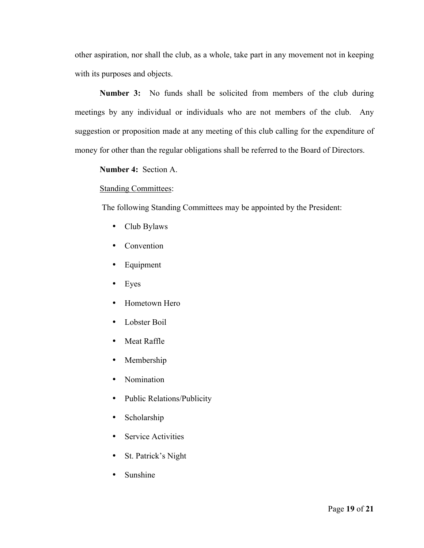other aspiration, nor shall the club, as a whole, take part in any movement not in keeping with its purposes and objects.

**Number 3:** No funds shall be solicited from members of the club during meetings by any individual or individuals who are not members of the club. Any suggestion or proposition made at any meeting of this club calling for the expenditure of money for other than the regular obligations shall be referred to the Board of Directors.

# **Number 4:** Section A.

# **Standing Committees:**

The following Standing Committees may be appointed by the President:

- Club Bylaws
- **Convention**
- Equipment
- Eyes
- Hometown Hero
- Lobster Boil
- Meat Raffle
- Membership
- Nomination
- Public Relations/Publicity
- Scholarship
- Service Activities
- St. Patrick's Night
- Sunshine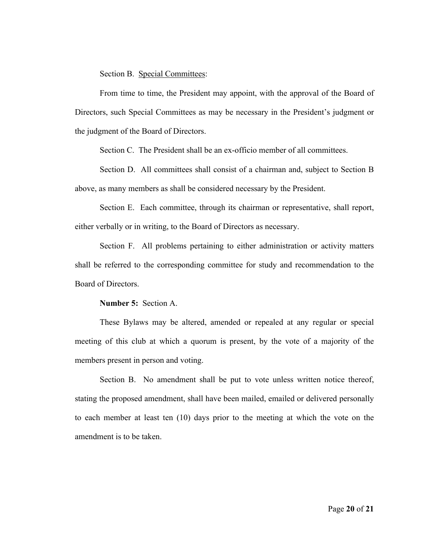Section B. Special Committees:

From time to time, the President may appoint, with the approval of the Board of Directors, such Special Committees as may be necessary in the President's judgment or the judgment of the Board of Directors.

Section C. The President shall be an ex-officio member of all committees.

Section D. All committees shall consist of a chairman and, subject to Section B above, as many members as shall be considered necessary by the President.

Section E. Each committee, through its chairman or representative, shall report, either verbally or in writing, to the Board of Directors as necessary.

Section F. All problems pertaining to either administration or activity matters shall be referred to the corresponding committee for study and recommendation to the Board of Directors.

### **Number 5:** Section A.

These Bylaws may be altered, amended or repealed at any regular or special meeting of this club at which a quorum is present, by the vote of a majority of the members present in person and voting.

Section B. No amendment shall be put to vote unless written notice thereof, stating the proposed amendment, shall have been mailed, emailed or delivered personally to each member at least ten (10) days prior to the meeting at which the vote on the amendment is to be taken.